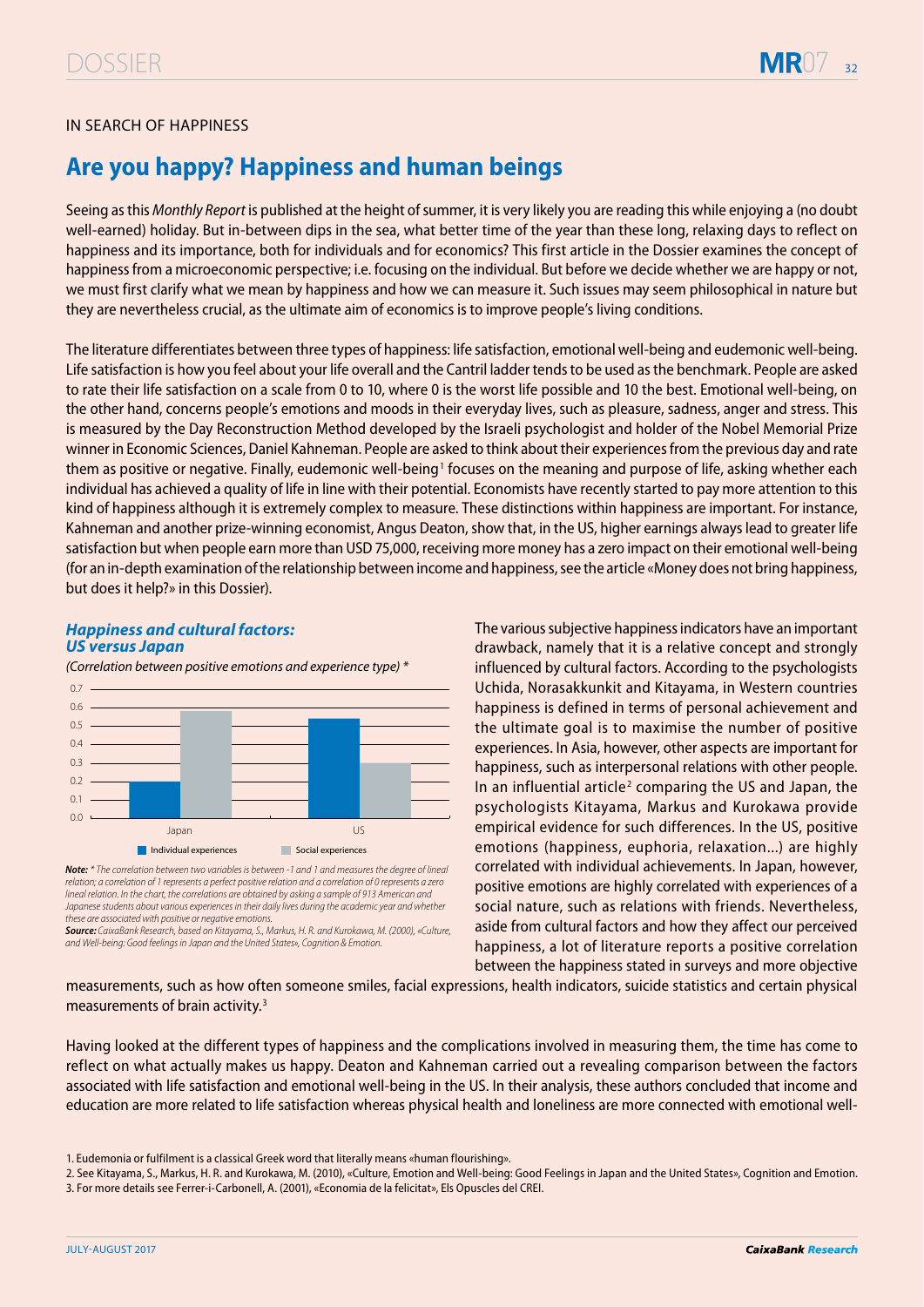

## IN SEARCH OF HAPPINESS

# **Are you happy? Happiness and human beings**

Seeing as this *Monthly Report* is published at the height of summer, it is very likely you are reading this while enjoying a (no doubt well-earned) holiday. But in-between dips in the sea, what better time of the year than these long, relaxing days to reflect on happiness and its importance, both for individuals and for economics? This first article in the Dossier examines the concept of happiness from a microeconomic perspective; i.e. focusing on the individual. But before we decide whether we are happy or not, we must first clarify what we mean by happiness and how we can measure it. Such issues may seem philosophical in nature but they are nevertheless crucial, as the ultimate aim of economics is to improve people's living conditions.

The literature differentiates between three types of happiness: life satisfaction, emotional well-being and eudemonic well-being. Life satisfaction is how you feel about your life overall and the Cantril ladder tends to be used as the benchmark. People are asked to rate their life satisfaction on a scale from 0 to 10, where 0 is the worst life possible and 10 the best. Emotional well-being, on the other hand, concerns people's emotions and moods in their everyday lives, such as pleasure, sadness, anger and stress. This is measured by the Day Reconstruction Method developed by the Israeli psychologist and holder of the Nobel Memorial Prize winner in Economic Sciences, Daniel Kahneman. People are asked to think about their experiences from the previous day and rate them as positive or negative. Finally, eudemonic well-being<sup>1</sup> focuses on the meaning and purpose of life, asking whether each individual has achieved a quality of life in line with their potential. Economists have recently started to pay more attention to this kind of happiness although it is extremely complex to measure. These distinctions within happiness are important. For instance, Kahneman and another prize-winning economist, Angus Deaton, show that, in the US, higher earnings always lead to greater life satisfaction but when people earn more than USD 75,000, receiving more money has a zero impact on their emotional well-being (for an in-depth examination of the relationship between income and happiness, see the article «Money does not bring happiness, but does it help?» in this Dossier).

### **Happiness and cultural factors: US versus Japan**

*(Correlation between positive emotions and experience type) \**



*Note: \** The correlation between two variables is between -1 and 1 and measures the degree of lineal relation; a correlation of 1 represents a perfect positive relation and a correlation of 0 represents a zero lineal relation. In the chart, the correlations are obtained by asking a sample of 913 American and Japanese students about various experiences in their daily lives during the academic year and whether these are associated with positive or negative emotions.

*Source: CaixaBank Researc*h, based on Kitayama, S., Markus, H. R. and Kurokawa, M. (2000), «Culture, and Well-being: Good feelings in Japan and the United States», Cognition & Emotion.

The various subjective happiness indicators have an important drawback, namely that it is a relative concept and strongly influenced by cultural factors. According to the psychologists Uchida, Norasakkunkit and Kitayama, in Western countries happiness is defined in terms of personal achievement and the ultimate goal is to maximise the number of positive experiences. In Asia, however, other aspects are important for happiness, such as interpersonal relations with other people. In an influential article<sup>2</sup> comparing the US and Japan, the psychologists Kitayama, Markus and Kurokawa provide empirical evidence for such differences. In the US, positive emotions (happiness, euphoria, relaxation...) are highly correlated with individual achievements. In Japan, however, positive emotions are highly correlated with experiences of a social nature, such as relations with friends. Nevertheless, aside from cultural factors and how they affect our perceived happiness, a lot of literature reports a positive correlation between the happiness stated in surveys and more objective

measurements, such as how often someone smiles, facial expressions, health indicators, suicide statistics and certain physical measurements of brain activity.<sup>3</sup>

Having looked at the different types of happiness and the complications involved in measuring them, the time has come to reflect on what actually makes us happy. Deaton and Kahneman carried out a revealing comparison between the factors associated with life satisfaction and emotional well-being in the US. In their analysis, these authors concluded that income and education are more related to life satisfaction whereas physical health and loneliness are more connected with emotional well-

<sup>1.</sup> Eudemonia or fulfilment is a classical Greek word that literally means «human flourishing».

<sup>2.</sup> See Kitayama, S., Markus, H. R. and Kurokawa, M. (2010), «Culture, Emotion and Well-being: Good Feelings in Japan and the United States», Cognition and Emotion. 3. For more details see Ferrer-i-Carbonell, A. (2001), «Economia de la felicitat», Els Opuscles del CREI.